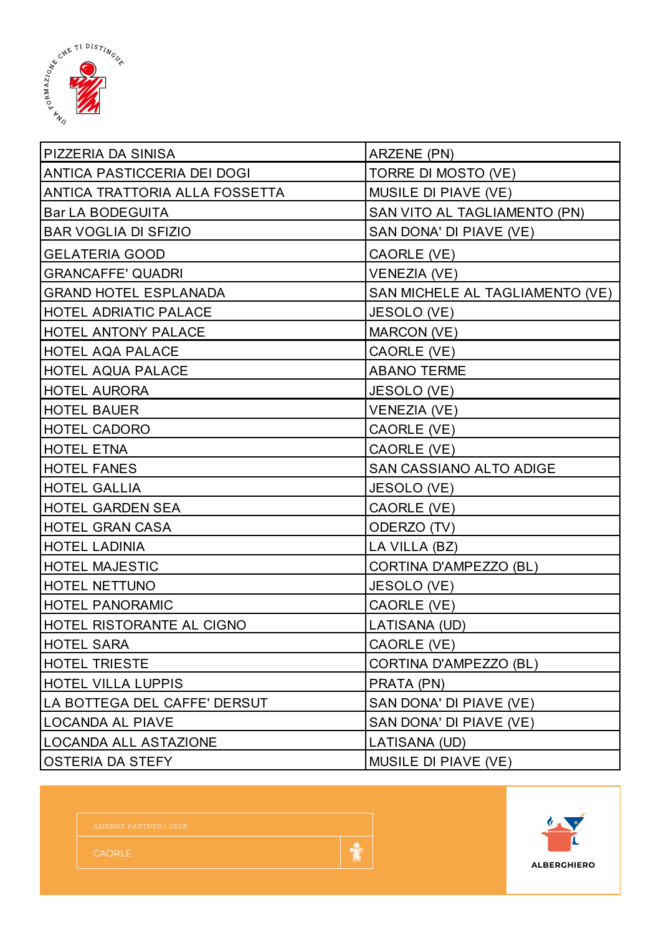

| <b>PIZZERIA DA SINISA</b>      | ARZENE (PN)                     |  |
|--------------------------------|---------------------------------|--|
| ANTICA PASTICCERIA DEI DOGI    | TORRE DI MOSTO (VE)             |  |
| ANTICA TRATTORIA ALLA FOSSETTA | MUSILE DI PIAVE (VE)            |  |
| <b>Bar LA BODEGUITA</b>        | SAN VITO AL TAGLIAMENTO (PN)    |  |
| <b>BAR VOGLIA DI SFIZIO</b>    | SAN DONA' DI PIAVE (VE)         |  |
| <b>GELATERIA GOOD</b>          | CAORLE (VE)                     |  |
| <b>GRANCAFFE' QUADRI</b>       | <b>VENEZIA (VE)</b>             |  |
| <b>GRAND HOTEL ESPLANADA</b>   | SAN MICHELE AL TAGLIAMENTO (VE) |  |
| <b>HOTEL ADRIATIC PALACE</b>   | JESOLO (VE)                     |  |
| HOTEL ANTONY PALACE            | MARCON (VE)                     |  |
| <b>HOTEL AQA PALACE</b>        | CAORLE (VE)                     |  |
| <b>HOTEL AQUA PALACE</b>       | <b>ABANO TERME</b>              |  |
| <b>HOTEL AURORA</b>            | JESOLO (VE)                     |  |
| <b>HOTEL BAUER</b>             | <b>VENEZIA (VE)</b>             |  |
| <b>HOTEL CADORO</b>            | CAORLE (VE)                     |  |
| <b>HOTEL ETNA</b>              | CAORLE (VE)                     |  |
| <b>HOTEL FANES</b>             | SAN CASSIANO ALTO ADIGE         |  |
| <b>HOTEL GALLIA</b>            | JESOLO (VE)                     |  |
| <b>HOTEL GARDEN SEA</b>        | CAORLE (VE)                     |  |
| <b>HOTEL GRAN CASA</b>         | ODERZO (TV)                     |  |
| <b>HOTEL LADINIA</b>           | LA VILLA (BZ)                   |  |
| <b>HOTEL MAJESTIC</b>          | CORTINA D'AMPEZZO (BL)          |  |
| <b>HOTEL NETTUNO</b>           | JESOLO (VE)                     |  |
| <b>HOTEL PANORAMIC</b>         | CAORLE (VE)                     |  |
| HOTEL RISTORANTE AL CIGNO      | LATISANA (UD)                   |  |
| <b>HOTEL SARA</b>              | CAORLE (VE)                     |  |
| <b>HOTEL TRIESTE</b>           | CORTINA D'AMPEZZO (BL)          |  |
| <b>HOTEL VILLA LUPPIS</b>      | PRATA (PN)                      |  |
| LA BOTTEGA DEL CAFFE' DERSUT   | SAN DONA' DI PIAVE (VE)         |  |
| <b>LOCANDA AL PIAVE</b>        | SAN DONA' DI PIAVE (VE)         |  |
| <b>LOCANDA ALL ASTAZIONE</b>   | LATISANA (UD)                   |  |
| <b>OSTERIA DA STEFY</b>        | MUSILE DI PIAVE (VE)            |  |



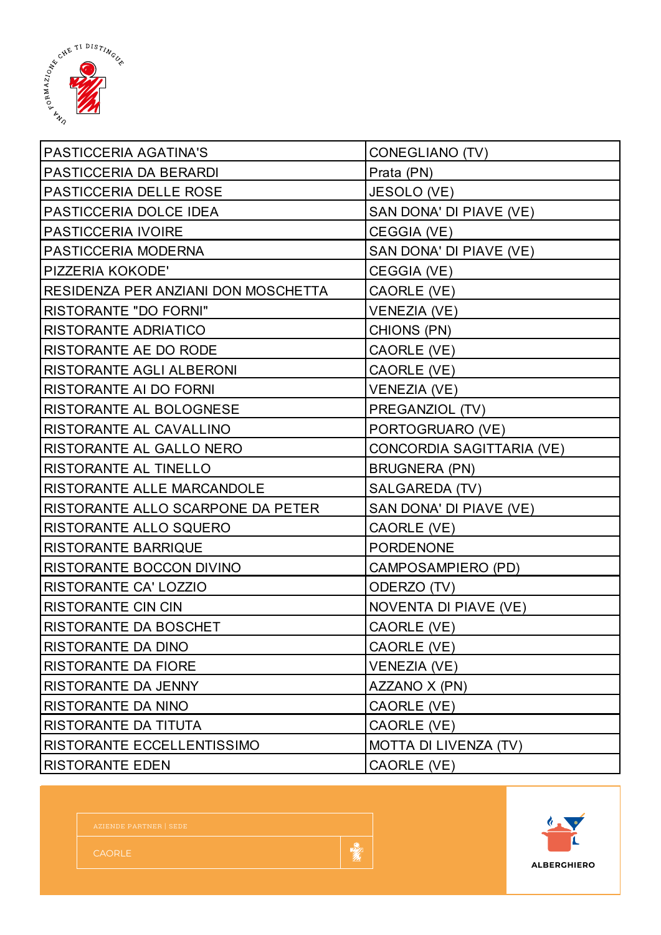

| PASTICCERIA AGATINA'S               | CONEGLIANO (TV)              |  |
|-------------------------------------|------------------------------|--|
| PASTICCERIA DA BERARDI              | Prata (PN)                   |  |
| PASTICCERIA DELLE ROSE              | JESOLO (VE)                  |  |
| PASTICCERIA DOLCE IDEA              | SAN DONA' DI PIAVE (VE)      |  |
| PASTICCERIA IVOIRE                  | CEGGIA (VE)                  |  |
| PASTICCERIA MODERNA                 | SAN DONA' DI PIAVE (VE)      |  |
| PIZZERIA KOKODE'                    | CEGGIA (VE)                  |  |
| RESIDENZA PER ANZIANI DON MOSCHETTA | CAORLE (VE)                  |  |
| <b>RISTORANTE "DO FORNI"</b>        | <b>VENEZIA (VE)</b>          |  |
| <b>RISTORANTE ADRIATICO</b>         | CHIONS (PN)                  |  |
| RISTORANTE AE DO RODE               | CAORLE (VE)                  |  |
| RISTORANTE AGLI ALBERONI            | CAORLE (VE)                  |  |
| RISTORANTE AI DO FORNI              | <b>VENEZIA (VE)</b>          |  |
| RISTORANTE AL BOLOGNESE             | PREGANZIOL (TV)              |  |
| RISTORANTE AL CAVALLINO             | PORTOGRUARO (VE)             |  |
| RISTORANTE AL GALLO NERO            | CONCORDIA SAGITTARIA (VE)    |  |
| RISTORANTE AL TINELLO               | <b>BRUGNERA (PN)</b>         |  |
| RISTORANTE ALLE MARCANDOLE          | SALGAREDA (TV)               |  |
| RISTORANTE ALLO SCARPONE DA PETER   | SAN DONA' DI PIAVE (VE)      |  |
| RISTORANTE ALLO SQUERO              | CAORLE (VE)                  |  |
| <b>RISTORANTE BARRIQUE</b>          | <b>PORDENONE</b>             |  |
| RISTORANTE BOCCON DIVINO            | CAMPOSAMPIERO (PD)           |  |
| <b>RISTORANTE CA' LOZZIO</b>        | ODERZO (TV)                  |  |
| <b>RISTORANTE CIN CIN</b>           | <b>NOVENTA DI PIAVE (VE)</b> |  |
| RISTORANTE DA BOSCHET               | CAORLE (VE)                  |  |
| RISTORANTE DA DINO                  | CAORLE (VE)                  |  |
| RISTORANTE DA FIORE                 | <b>VENEZIA (VE)</b>          |  |
| RISTORANTE DA JENNY                 | AZZANO X (PN)                |  |
| RISTORANTE DA NINO                  | CAORLE (VE)                  |  |
| RISTORANTE DA TITUTA                | CAORLE (VE)                  |  |
| RISTORANTE ECCELLENTISSIMO          | MOTTA DI LIVENZA (TV)        |  |
| <b>RISTORANTE EDEN</b>              | CAORLE (VE)                  |  |